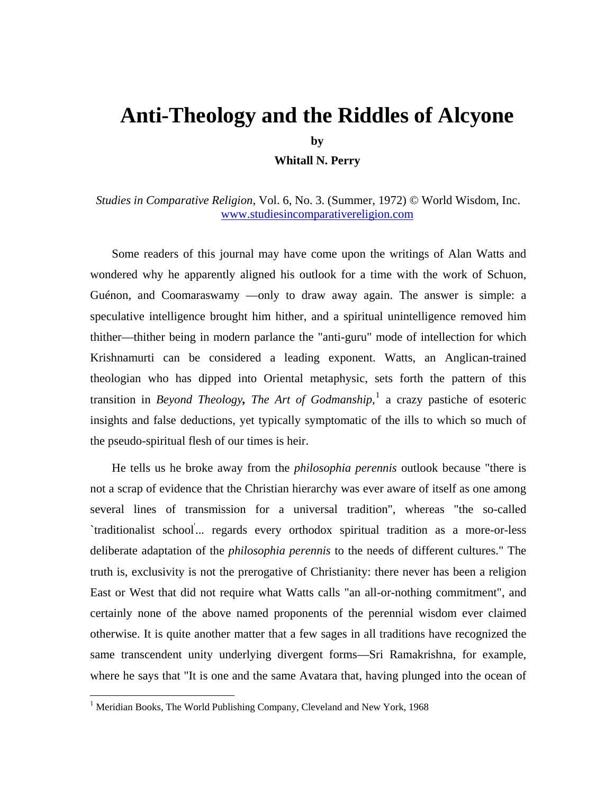## **Anti-Theology and the Riddles of Alcyone**

**by** 

**Whitall N. Perry**

*Studies in Comparative Religion*, Vol. 6, No. 3. (Summer, 1972) © World Wisdom, Inc. [www.studiesincomparativereligion.com](http://www.studiesincomparativereligion.com/)

Some readers of this journal may have come upon the writings of Alan Watts and wondered why he apparently aligned his outlook for a time with the work of Schuon, Guénon, and Coomaraswamy —only to draw away again. The answer is simple: a speculative intelligence brought him hither, and a spiritual unintelligence removed him thither—thither being in modern parlance the "anti-guru" mode of intellection for which Krishnamurti can be considered a leading exponent. Watts, an Anglican-trained theologian who has dipped into Oriental metaphysic, sets forth the pattern of this transition in *Beyond Theology, The Art of Godmanship,*[1](#page-0-0) a crazy pastiche of esoteric insights and false deductions, yet typically symptomatic of the ills to which so much of the pseudo-spiritual flesh of our times is heir.

He tells us he broke away from the *philosophia perennis* outlook because "there is not a scrap of evidence that the Christian hierarchy was ever aware of itself as one among several lines of transmission for a universal tradition", whereas "the so-called `traditionalist school' ... regards every orthodox spiritual tradition as a more-or-less deliberate adaptation of the *philosophia perennis* to the needs of different cultures." The truth is, exclusivity is not the prerogative of Christianity: there never has been a religion East or West that did not require what Watts calls "an all-or-nothing commitment", and certainly none of the above named proponents of the perennial wisdom ever claimed otherwise. It is quite another matter that a few sages in all traditions have recognized the same transcendent unity underlying divergent forms—Sri Ramakrishna, for example, where he says that "It is one and the same Avatara that, having plunged into the ocean of

 $\overline{a}$ 

<span id="page-0-0"></span><sup>&</sup>lt;sup>1</sup> Meridian Books, The World Publishing Company, Cleveland and New York, 1968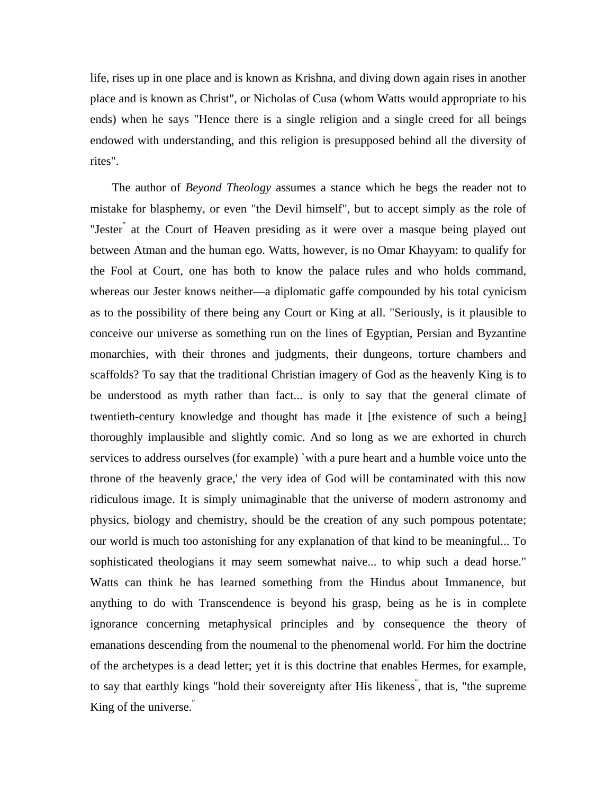life, rises up in one place and is known as Krishna, and diving down again rises in another place and is known as Christ", or Nicholas of Cusa (whom Watts would appropriate to his ends) when he says "Hence there is a single religion and a single creed for all beings endowed with understanding, and this religion is presupposed behind all the diversity of rites".

The author of *Beyond Theology* assumes a stance which he begs the reader not to mistake for blasphemy, or even "the Devil himself", but to accept simply as the role of "Jester<sup>"</sup> at the Court of Heaven presiding as it were over a masque being played out between Atman and the human ego. Watts, however, is no Omar Khayyam: to qualify for the Fool at Court, one has both to know the palace rules and who holds command, whereas our Jester knows neither—a diplomatic gaffe compounded by his total cynicism as to the possibility of there being any Court or King at all. "Seriously, is it plausible to conceive our universe as something run on the lines of Egyptian, Persian and Byzantine monarchies, with their thrones and judgments, their dungeons, torture chambers and scaffolds? To say that the traditional Christian imagery of God as the heavenly King is to be understood as myth rather than fact... is only to say that the general climate of twentieth-century knowledge and thought has made it [the existence of such a being] thoroughly implausible and slightly comic. And so long as we are exhorted in church services to address ourselves (for example) `with a pure heart and a humble voice unto the throne of the heavenly grace,' the very idea of God will be contaminated with this now ridiculous image. It is simply unimaginable that the universe of modern astronomy and physics, biology and chemistry, should be the creation of any such pompous potentate; our world is much too astonishing for any explanation of that kind to be meaningful... To sophisticated theologians it may seem somewhat naive... to whip such a dead horse." Watts can think he has learned something from the Hindus about Immanence, but anything to do with Transcendence is beyond his grasp, being as he is in complete ignorance concerning metaphysical principles and by consequence the theory of emanations descending from the noumenal to the phenomenal world. For him the doctrine of the archetypes is a dead letter; yet it is this doctrine that enables Hermes, for example, to say that earthly kings "hold their sovereignty after His likeness" , that is, "the supreme King of the universe.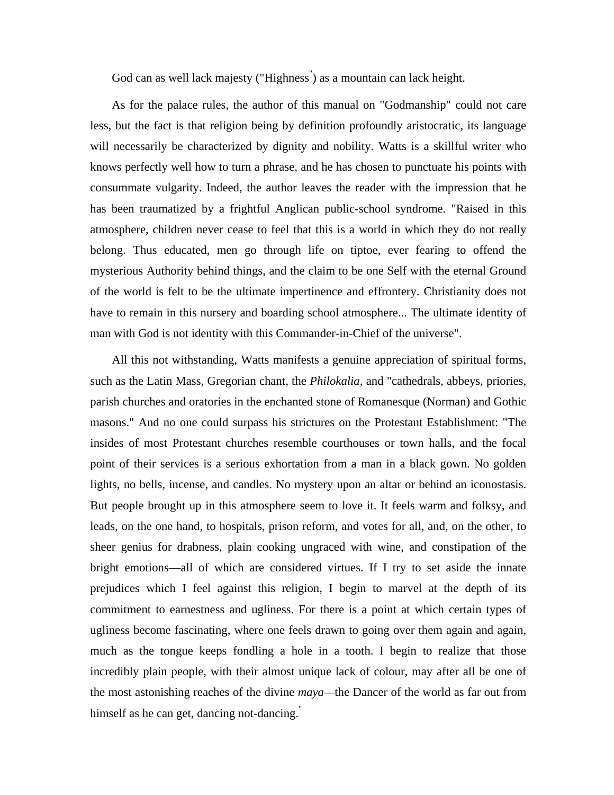God can as well lack majesty ("Highness" ) as a mountain can lack height.

As for the palace rules, the author of this manual on "Godmanship" could not care less, but the fact is that religion being by definition profoundly aristocratic, its language will necessarily be characterized by dignity and nobility. Watts is a skillful writer who knows perfectly well how to turn a phrase, and he has chosen to punctuate his points with consummate vulgarity. Indeed, the author leaves the reader with the impression that he has been traumatized by a frightful Anglican public-school syndrome. "Raised in this atmosphere, children never cease to feel that this is a world in which they do not really belong. Thus educated, men go through life on tiptoe, ever fearing to offend the mysterious Authority behind things, and the claim to be one Self with the eternal Ground of the world is felt to be the ultimate impertinence and effrontery. Christianity does not have to remain in this nursery and boarding school atmosphere... The ultimate identity of man with God is not identity with this Commander-in-Chief of the universe".

All this not withstanding, Watts manifests a genuine appreciation of spiritual forms, such as the Latin Mass, Gregorian chant, the *Philokalia,* and "cathedrals, abbeys, priories, parish churches and oratories in the enchanted stone of Romanesque (Norman) and Gothic masons." And no one could surpass his strictures on the Protestant Establishment: "The insides of most Protestant churches resemble courthouses or town halls, and the focal point of their services is a serious exhortation from a man in a black gown. No golden lights, no bells, incense, and candles. No mystery upon an altar or behind an iconostasis. But people brought up in this atmosphere seem to love it. It feels warm and folksy, and leads, on the one hand, to hospitals, prison reform, and votes for all, and, on the other, to sheer genius for drabness, plain cooking ungraced with wine, and constipation of the bright emotions—all of which are considered virtues. If I try to set aside the innate prejudices which I feel against this religion, I begin to marvel at the depth of its commitment to earnestness and ugliness. For there is a point at which certain types of ugliness become fascinating, where one feels drawn to going over them again and again, much as the tongue keeps fondling a hole in a tooth. I begin to realize that those incredibly plain people, with their almost unique lack of colour, may after all be one of the most astonishing reaches of the divine *maya—*the Dancer of the world as far out from himself as he can get, dancing not-dancing.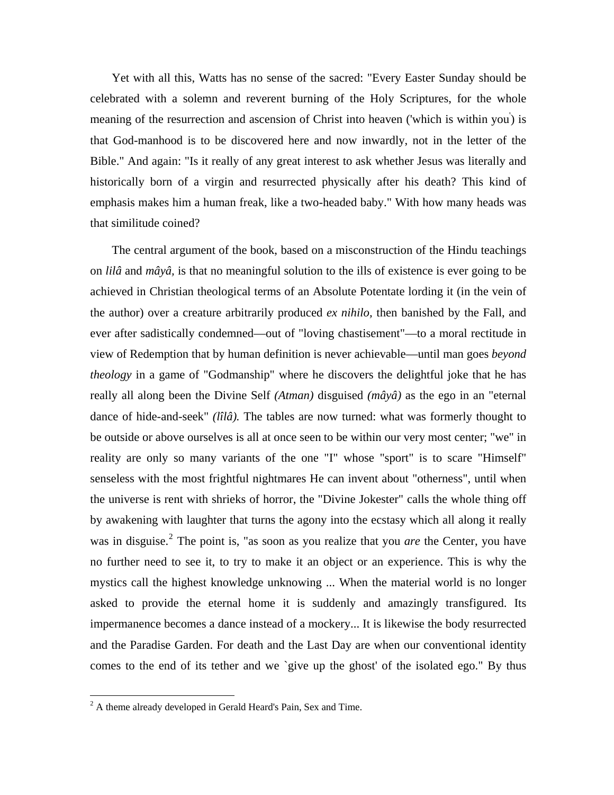Yet with all this, Watts has no sense of the sacred: "Every Easter Sunday should be celebrated with a solemn and reverent burning of the Holy Scriptures, for the whole meaning of the resurrection and ascension of Christ into heaven ('which is within you' ) is that God-manhood is to be discovered here and now inwardly, not in the letter of the Bible." And again: "Is it really of any great interest to ask whether Jesus was literally and historically born of a virgin and resurrected physically after his death? This kind of emphasis makes him a human freak, like a two-headed baby." With how many heads was that similitude coined?

The central argument of the book, based on a misconstruction of the Hindu teachings on *lilâ* and *mâyâ,* is that no meaningful solution to the ills of existence is ever going to be achieved in Christian theological terms of an Absolute Potentate lording it (in the vein of the author) over a creature arbitrarily produced *ex nihilo,* then banished by the Fall, and ever after sadistically condemned—out of "loving chastisement"—to a moral rectitude in view of Redemption that by human definition is never achievable—until man goes *beyond theology* in a game of "Godmanship" where he discovers the delightful joke that he has really all along been the Divine Self *(Atman)* disguised *(mâyâ)* as the ego in an "eternal dance of hide-and-seek" *(lîlâ).* The tables are now turned: what was formerly thought to be outside or above ourselves is all at once seen to be within our very most center; "we" in reality are only so many variants of the one "I" whose "sport" is to scare "Himself" senseless with the most frightful nightmares He can invent about "otherness", until when the universe is rent with shrieks of horror, the "Divine Jokester" calls the whole thing off by awakening with laughter that turns the agony into the ecstasy which all along it really was in disguise.<sup>[2](#page-3-0)</sup> The point is, "as soon as you realize that you *are* the Center, you have no further need to see it, to try to make it an object or an experience. This is why the mystics call the highest knowledge unknowing ... When the material world is no longer asked to provide the eternal home it is suddenly and amazingly transfigured. Its impermanence becomes a dance instead of a mockery... It is likewise the body resurrected and the Paradise Garden. For death and the Last Day are when our conventional identity comes to the end of its tether and we `give up the ghost' of the isolated ego." By thus

 $\overline{a}$ 

<span id="page-3-0"></span> $2^2$  A theme already developed in Gerald Heard's Pain, Sex and Time.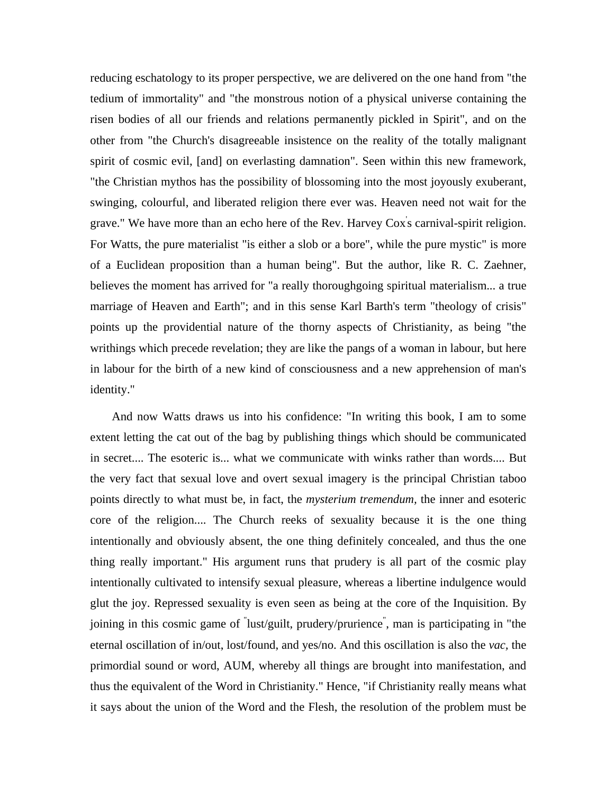reducing eschatology to its proper perspective, we are delivered on the one hand from "the tedium of immortality" and "the monstrous notion of a physical universe containing the risen bodies of all our friends and relations permanently pickled in Spirit", and on the other from "the Church's disagreeable insistence on the reality of the totally malignant spirit of cosmic evil, [and] on everlasting damnation". Seen within this new framework, "the Christian mythos has the possibility of blossoming into the most joyously exuberant, swinging, colourful, and liberated religion there ever was. Heaven need not wait for the grave." We have more than an echo here of the Rev. Harvey Cox' s carnival-spirit religion. For Watts, the pure materialist "is either a slob or a bore", while the pure mystic" is more of a Euclidean proposition than a human being". But the author, like R. C. Zaehner, believes the moment has arrived for "a really thoroughgoing spiritual materialism... a true marriage of Heaven and Earth"; and in this sense Karl Barth's term "theology of crisis" points up the providential nature of the thorny aspects of Christianity, as being "the writhings which precede revelation; they are like the pangs of a woman in labour, but here in labour for the birth of a new kind of consciousness and a new apprehension of man's identity."

And now Watts draws us into his confidence: "In writing this book, I am to some extent letting the cat out of the bag by publishing things which should be communicated in secret.... The esoteric is... what we communicate with winks rather than words.... But the very fact that sexual love and overt sexual imagery is the principal Christian taboo points directly to what must be, in fact, the *mysterium tremendum,* the inner and esoteric core of the religion.... The Church reeks of sexuality because it is the one thing intentionally and obviously absent, the one thing definitely concealed, and thus the one thing really important." His argument runs that prudery is all part of the cosmic play intentionally cultivated to intensify sexual pleasure, whereas a libertine indulgence would glut the joy. Repressed sexuality is even seen as being at the core of the Inquisition. By joining in this cosmic game of " lust/guilt, prudery/prurience" , man is participating in "the eternal oscillation of in/out, lost/found, and yes/no. And this oscillation is also the *vac,* the primordial sound or word, AUM, whereby all things are brought into manifestation, and thus the equivalent of the Word in Christianity." Hence, "if Christianity really means what it says about the union of the Word and the Flesh, the resolution of the problem must be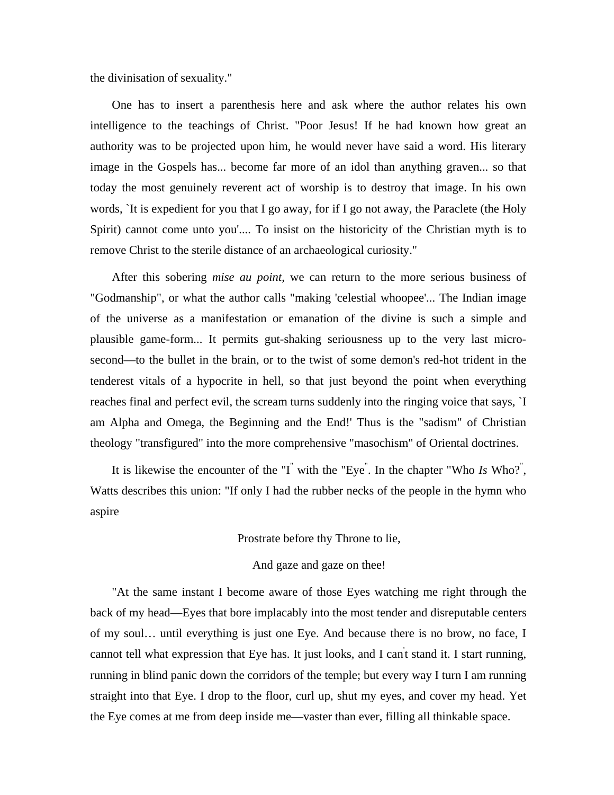the divinisation of sexuality."

One has to insert a parenthesis here and ask where the author relates his own intelligence to the teachings of Christ. "Poor Jesus! If he had known how great an authority was to be projected upon him, he would never have said a word. His literary image in the Gospels has... become far more of an idol than anything graven... so that today the most genuinely reverent act of worship is to destroy that image. In his own words, `It is expedient for you that I go away, for if I go not away, the Paraclete (the Holy Spirit) cannot come unto you'.... To insist on the historicity of the Christian myth is to remove Christ to the sterile distance of an archaeological curiosity."

After this sobering *mise au point,* we can return to the more serious business of "Godmanship", or what the author calls "making 'celestial whoopee'... The Indian image of the universe as a manifestation or emanation of the divine is such a simple and plausible game-form... It permits gut-shaking seriousness up to the very last microsecond—to the bullet in the brain, or to the twist of some demon's red-hot trident in the tenderest vitals of a hypocrite in hell, so that just beyond the point when everything reaches final and perfect evil, the scream turns suddenly into the ringing voice that says, `I am Alpha and Omega, the Beginning and the End!' Thus is the "sadism" of Christian theology "transfigured" into the more comprehensive "masochism" of Oriental doctrines.

It is likewise the encounter of the "I<sup>"</sup> with the "Eye<sup>"</sup>. In the chapter "Who *Is* Who?<sup>"</sup>, Watts describes this union: "If only I had the rubber necks of the people in the hymn who aspire

Prostrate before thy Throne to lie,

## And gaze and gaze on thee!

"At the same instant I become aware of those Eyes watching me right through the back of my head—Eyes that bore implacably into the most tender and disreputable centers of my soul… until everything is just one Eye. And because there is no brow, no face, I cannot tell what expression that Eye has. It just looks, and I can't stand it. I start running, running in blind panic down the corridors of the temple; but every way I turn I am running straight into that Eye. I drop to the floor, curl up, shut my eyes, and cover my head. Yet the Eye comes at me from deep inside me—vaster than ever, filling all thinkable space.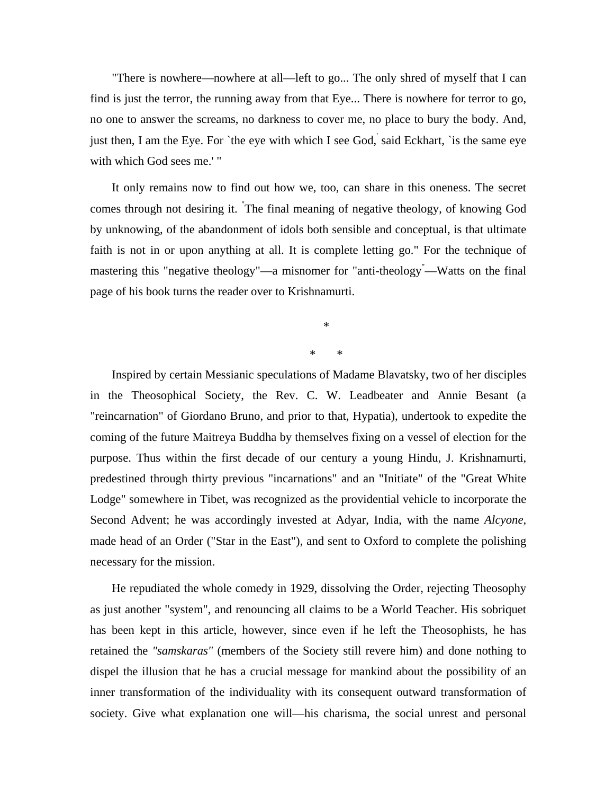"There is nowhere—nowhere at all—left to go... The only shred of myself that I can find is just the terror, the running away from that Eye... There is nowhere for terror to go, no one to answer the screams, no darkness to cover me, no place to bury the body. And, just then, I am the Eye. For `the eye with which I see God, said Eckhart, `is the same eye with which God sees me.' "

It only remains now to find out how we, too, can share in this oneness. The secret comes through not desiring it. " The final meaning of negative theology, of knowing God by unknowing, of the abandonment of idols both sensible and conceptual, is that ultimate faith is not in or upon anything at all. It is complete letting go." For the technique of mastering this "negative theology"—a misnomer for "anti-theology<sup>"</sup>—Watts on the final page of his book turns the reader over to Krishnamurti.

\*

\* \*

Inspired by certain Messianic speculations of Madame Blavatsky, two of her disciples in the Theosophical Society, the Rev. C. W. Leadbeater and Annie Besant (a "reincarnation" of Giordano Bruno, and prior to that, Hypatia), undertook to expedite the coming of the future Maitreya Buddha by themselves fixing on a vessel of election for the purpose. Thus within the first decade of our century a young Hindu, J. Krishnamurti, predestined through thirty previous "incarnations" and an "Initiate" of the "Great White Lodge" somewhere in Tibet, was recognized as the providential vehicle to incorporate the Second Advent; he was accordingly invested at Adyar, India, with the name *Alcyone,*  made head of an Order ("Star in the East"), and sent to Oxford to complete the polishing necessary for the mission.

He repudiated the whole comedy in 1929, dissolving the Order, rejecting Theosophy as just another "system", and renouncing all claims to be a World Teacher. His sobriquet has been kept in this article, however, since even if he left the Theosophists, he has retained the *"samskaras"* (members of the Society still revere him) and done nothing to dispel the illusion that he has a crucial message for mankind about the possibility of an inner transformation of the individuality with its consequent outward transformation of society. Give what explanation one will—his charisma, the social unrest and personal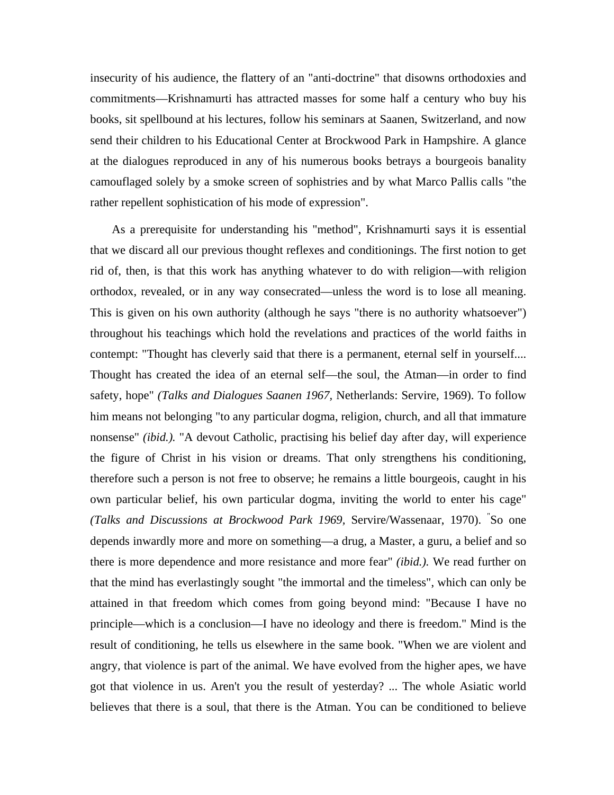insecurity of his audience, the flattery of an "anti-doctrine" that disowns orthodoxies and commitments—Krishnamurti has attracted masses for some half a century who buy his books, sit spellbound at his lectures, follow his seminars at Saanen, Switzerland, and now send their children to his Educational Center at Brockwood Park in Hampshire. A glance at the dialogues reproduced in any of his numerous books betrays a bourgeois banality camouflaged solely by a smoke screen of sophistries and by what Marco Pallis calls "the rather repellent sophistication of his mode of expression".

As a prerequisite for understanding his "method", Krishnamurti says it is essential that we discard all our previous thought reflexes and conditionings. The first notion to get rid of, then, is that this work has anything whatever to do with religion—with religion orthodox, revealed, or in any way consecrated—unless the word is to lose all meaning. This is given on his own authority (although he says "there is no authority whatsoever") throughout his teachings which hold the revelations and practices of the world faiths in contempt: "Thought has cleverly said that there is a permanent, eternal self in yourself.... Thought has created the idea of an eternal self—the soul, the Atman—in order to find safety, hope" *(Talks and Dialogues Saanen 1967,* Netherlands: Servire, 1969). To follow him means not belonging "to any particular dogma, religion, church, and all that immature nonsense" *(ibid.).* "A devout Catholic, practising his belief day after day, will experience the figure of Christ in his vision or dreams. That only strengthens his conditioning, therefore such a person is not free to observe; he remains a little bourgeois, caught in his own particular belief, his own particular dogma, inviting the world to enter his cage" *(Talks and Discussions at Brockwood Park 1969,* Servire/Wassenaar, 1970). " So one depends inwardly more and more on something—a drug, a Master, a guru, a belief and so there is more dependence and more resistance and more fear" *(ibid.).* We read further on that the mind has everlastingly sought "the immortal and the timeless", which can only be attained in that freedom which comes from going beyond mind: "Because I have no principle—which is a conclusion—I have no ideology and there is freedom." Mind is the result of conditioning, he tells us elsewhere in the same book. "When we are violent and angry, that violence is part of the animal. We have evolved from the higher apes, we have got that violence in us. Aren't you the result of yesterday? ... The whole Asiatic world believes that there is a soul, that there is the Atman. You can be conditioned to believe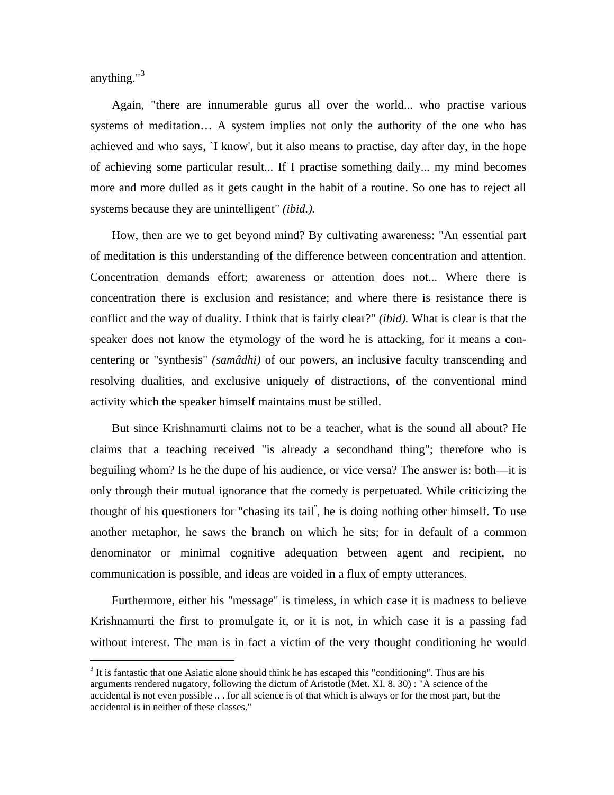anything."[3](#page-8-0)

 $\overline{a}$ 

Again, "there are innumerable gurus all over the world... who practise various systems of meditation… A system implies not only the authority of the one who has achieved and who says, `I know', but it also means to practise, day after day, in the hope of achieving some particular result... If I practise something daily... my mind becomes more and more dulled as it gets caught in the habit of a routine. So one has to reject all systems because they are unintelligent" *(ibid.).*

How, then are we to get beyond mind? By cultivating awareness: "An essential part of meditation is this understanding of the difference between concentration and attention. Concentration demands effort; awareness or attention does not... Where there is concentration there is exclusion and resistance; and where there is resistance there is conflict and the way of duality. I think that is fairly clear?" *(ibid).* What is clear is that the speaker does not know the etymology of the word he is attacking, for it means a concentering or "synthesis" *(samâdhi)* of our powers, an inclusive faculty transcending and resolving dualities, and exclusive uniquely of distractions, of the conventional mind activity which the speaker himself maintains must be stilled.

But since Krishnamurti claims not to be a teacher, what is the sound all about? He claims that a teaching received "is already a secondhand thing"; therefore who is beguiling whom? Is he the dupe of his audience, or vice versa? The answer is: both—it is only through their mutual ignorance that the comedy is perpetuated. While criticizing the thought of his questioners for "chasing its tail" , he is doing nothing other himself. To use another metaphor, he saws the branch on which he sits; for in default of a common denominator or minimal cognitive adequation between agent and recipient, no communication is possible, and ideas are voided in a flux of empty utterances.

Furthermore, either his "message" is timeless, in which case it is madness to believe Krishnamurti the first to promulgate it, or it is not, in which case it is a passing fad without interest. The man is in fact a victim of the very thought conditioning he would

<span id="page-8-0"></span> $3$  It is fantastic that one Asiatic alone should think he has escaped this "conditioning". Thus are his arguments rendered nugatory, following the dictum of Aristotle (Met. XI. 8. 30) : "A science of the accidental is not even possible .. . for all science is of that which is always or for the most part, but the accidental is in neither of these classes."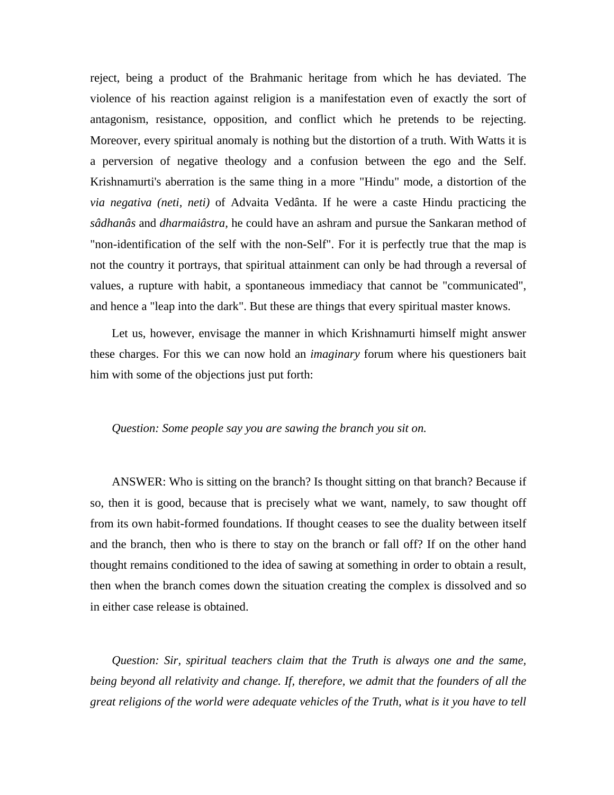reject, being a product of the Brahmanic heritage from which he has deviated. The violence of his reaction against religion is a manifestation even of exactly the sort of antagonism, resistance, opposition, and conflict which he pretends to be rejecting. Moreover, every spiritual anomaly is nothing but the distortion of a truth. With Watts it is a perversion of negative theology and a confusion between the ego and the Self. Krishnamurti's aberration is the same thing in a more "Hindu" mode, a distortion of the *via negativa (neti, neti)* of Advaita Vedânta. If he were a caste Hindu practicing the *sâdhanâs* and *dharmaiâstra,* he could have an ashram and pursue the Sankaran method of "non-identification of the self with the non-Self". For it is perfectly true that the map is not the country it portrays, that spiritual attainment can only be had through a reversal of values, a rupture with habit, a spontaneous immediacy that cannot be "communicated", and hence a "leap into the dark". But these are things that every spiritual master knows.

Let us, however, envisage the manner in which Krishnamurti himself might answer these charges. For this we can now hold an *imaginary* forum where his questioners bait him with some of the objections just put forth:

## *Question: Some people say you are sawing the branch you sit on.*

ANSWER: Who is sitting on the branch? Is thought sitting on that branch? Because if so, then it is good, because that is precisely what we want, namely, to saw thought off from its own habit-formed foundations. If thought ceases to see the duality between itself and the branch, then who is there to stay on the branch or fall off? If on the other hand thought remains conditioned to the idea of sawing at something in order to obtain a result, then when the branch comes down the situation creating the complex is dissolved and so in either case release is obtained.

*Question: Sir, spiritual teachers claim that the Truth is always one and the same, being beyond all relativity and change. If, therefore, we admit that the founders of all the great religions of the world were adequate vehicles of the Truth, what is it you have to tell*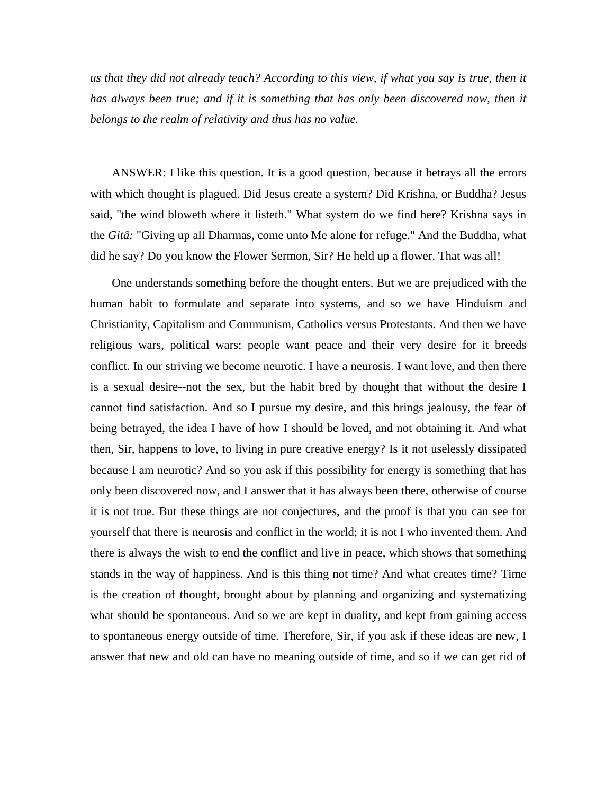*us that they did not already teach? According to this view, if what you say is true, then it*  has always been true; and if it is something that has only been discovered now, then it *belongs to the realm of relativity and thus has no value.* 

ANSWER: I like this question. It is a good question, because it betrays all the errors with which thought is plagued. Did Jesus create a system? Did Krishna, or Buddha? Jesus said, "the wind bloweth where it listeth." What system do we find here? Krishna says in the *Gitâ:* "Giving up all Dharmas, come unto Me alone for refuge." And the Buddha, what did he say? Do you know the Flower Sermon, Sir? He held up a flower. That was all!

One understands something before the thought enters. But we are prejudiced with the human habit to formulate and separate into systems, and so we have Hinduism and Christianity, Capitalism and Communism, Catholics versus Protestants. And then we have religious wars, political wars; people want peace and their very desire for it breeds conflict. In our striving we become neurotic. I have a neurosis. I want love, and then there is a sexual desire--not the sex, but the habit bred by thought that without the desire I cannot find satisfaction. And so I pursue my desire, and this brings jealousy, the fear of being betrayed, the idea I have of how I should be loved, and not obtaining it. And what then, Sir, happens to love, to living in pure creative energy? Is it not uselessly dissipated because I am neurotic? And so you ask if this possibility for energy is something that has only been discovered now, and I answer that it has always been there, otherwise of course it is not true. But these things are not conjectures, and the proof is that you can see for yourself that there is neurosis and conflict in the world; it is not I who invented them. And there is always the wish to end the conflict and live in peace, which shows that something stands in the way of happiness. And is this thing not time? And what creates time? Time is the creation of thought, brought about by planning and organizing and systematizing what should be spontaneous. And so we are kept in duality, and kept from gaining access to spontaneous energy outside of time. Therefore, Sir, if you ask if these ideas are new, I answer that new and old can have no meaning outside of time, and so if we can get rid of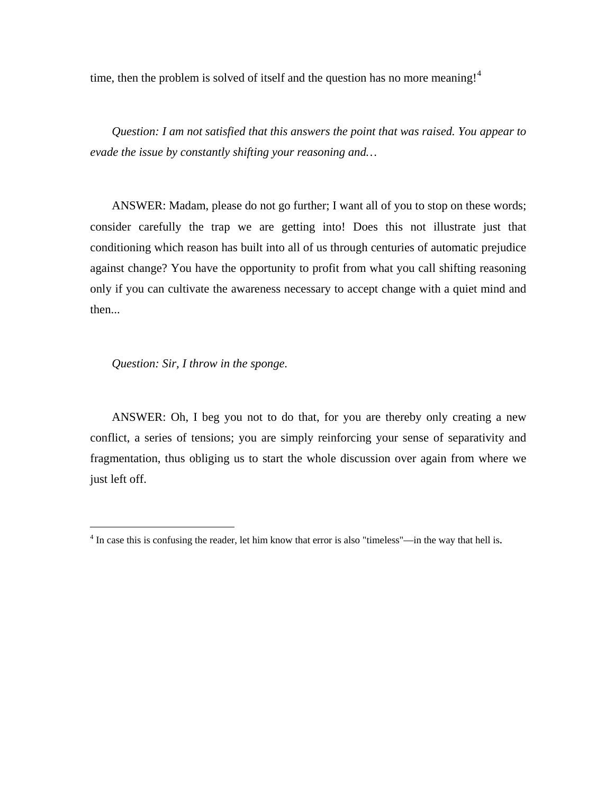time, then the problem is solved of itself and the question has no more meaning!<sup>[4](#page-11-0)</sup>

*Question: I am not satisfied that this answers the point that was raised. You appear to evade the issue by constantly shifting your reasoning and…* 

ANSWER: Madam, please do not go further; I want all of you to stop on these words; consider carefully the trap we are getting into! Does this not illustrate just that conditioning which reason has built into all of us through centuries of automatic prejudice against change? You have the opportunity to profit from what you call shifting reasoning only if you can cultivate the awareness necessary to accept change with a quiet mind and then...

*Question: Sir, I throw in the sponge.* 

 $\overline{a}$ 

ANSWER: Oh, I beg you not to do that, for you are thereby only creating a new conflict, a series of tensions; you are simply reinforcing your sense of separativity and fragmentation, thus obliging us to start the whole discussion over again from where we just left off.

<span id="page-11-0"></span><sup>&</sup>lt;sup>4</sup> In case this is confusing the reader, let him know that error is also "timeless"—in the way that hell is.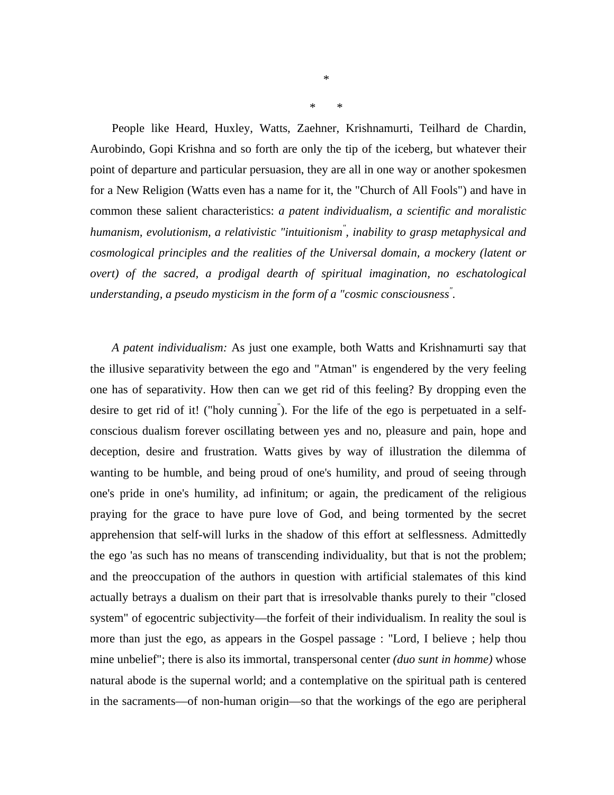\* \*

People like Heard, Huxley, Watts, Zaehner, Krishnamurti, Teilhard de Chardin, Aurobindo, Gopi Krishna and so forth are only the tip of the iceberg, but whatever their point of departure and particular persuasion, they are all in one way or another spokesmen for a New Religion (Watts even has a name for it, the "Church of All Fools") and have in common these salient characteristics: *a patent individualism, a scientific and moralistic humanism, evolutionism, a relativistic "intuitionism" , inability to grasp metaphysical and cosmological principles and the realities of the Universal domain, a mockery (latent or overt) of the sacred, a prodigal dearth of spiritual imagination, no eschatological understanding, a pseudo mysticism in the form of a "cosmic consciousness" .* 

*A patent individualism:* As just one example, both Watts and Krishnamurti say that the illusive separativity between the ego and "Atman" is engendered by the very feeling one has of separativity. How then can we get rid of this feeling? By dropping even the desire to get rid of it! ("holy cunning" ). For the life of the ego is perpetuated in a selfconscious dualism forever oscillating between yes and no, pleasure and pain, hope and deception, desire and frustration. Watts gives by way of illustration the dilemma of wanting to be humble, and being proud of one's humility, and proud of seeing through one's pride in one's humility, ad infinitum; or again, the predicament of the religious praying for the grace to have pure love of God, and being tormented by the secret apprehension that self-will lurks in the shadow of this effort at selflessness. Admittedly the ego 'as such has no means of transcending individuality, but that is not the problem; and the preoccupation of the authors in question with artificial stalemates of this kind actually betrays a dualism on their part that is irresolvable thanks purely to their "closed system" of egocentric subjectivity—the forfeit of their individualism. In reality the soul is more than just the ego, as appears in the Gospel passage : "Lord, I believe ; help thou mine unbelief"; there is also its immortal, transpersonal center *(duo sunt in homme)* whose natural abode is the supernal world; and a contemplative on the spiritual path is centered in the sacraments—of non-human origin—so that the workings of the ego are peripheral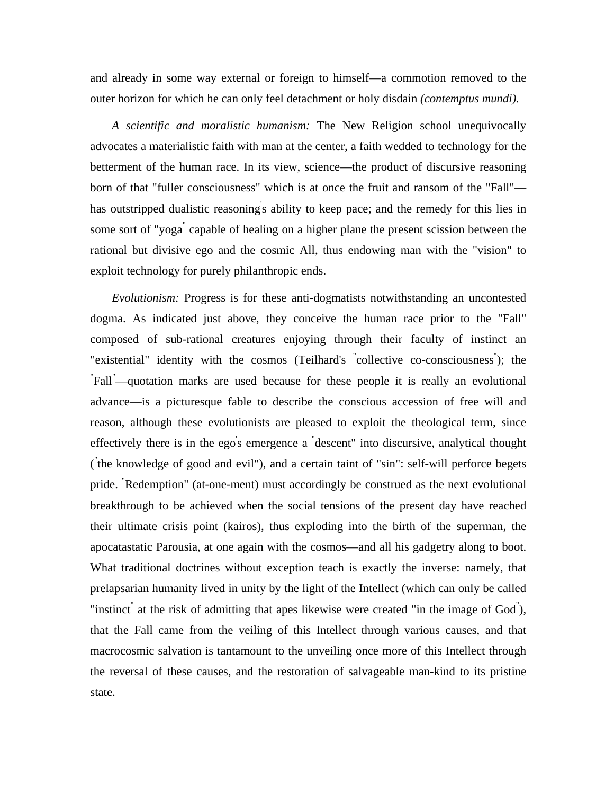and already in some way external or foreign to himself—a commotion removed to the outer horizon for which he can only feel detachment or holy disdain *(contemptus mundi).*

*A scientific and moralistic humanism:* The New Religion school unequivocally advocates a materialistic faith with man at the center, a faith wedded to technology for the betterment of the human race. In its view, science—the product of discursive reasoning born of that "fuller consciousness" which is at once the fruit and ransom of the "Fall" has outstripped dualistic reasonings ability to keep pace; and the remedy for this lies in some sort of "yoga" capable of healing on a higher plane the present scission between the rational but divisive ego and the cosmic All, thus endowing man with the "vision" to exploit technology for purely philanthropic ends.

*Evolutionism:* Progress is for these anti-dogmatists notwithstanding an uncontested dogma. As indicated just above, they conceive the human race prior to the "Fall" composed of sub-rational creatures enjoying through their faculty of instinct an "existential" identity with the cosmos (Teilhard's collective co-consciousness<sup>"</sup>); the " Fall" —quotation marks are used because for these people it is really an evolutional advance—is a picturesque fable to describe the conscious accession of free will and reason, although these evolutionists are pleased to exploit the theological term, since effectively there is in the ego's emergence a "descent" into discursive, analytical thought ( " the knowledge of good and evil"), and a certain taint of "sin": self-will perforce begets pride. " Redemption" (at-one-ment) must accordingly be construed as the next evolutional breakthrough to be achieved when the social tensions of the present day have reached their ultimate crisis point (kairos), thus exploding into the birth of the superman, the apocatastatic Parousia, at one again with the cosmos—and all his gadgetry along to boot. What traditional doctrines without exception teach is exactly the inverse: namely, that prelapsarian humanity lived in unity by the light of the Intellect (which can only be called "instinct<sup>"</sup> at the risk of admitting that apes likewise were created "in the image of God<sup>"</sup>), that the Fall came from the veiling of this Intellect through various causes, and that macrocosmic salvation is tantamount to the unveiling once more of this Intellect through the reversal of these causes, and the restoration of salvageable man-kind to its pristine state.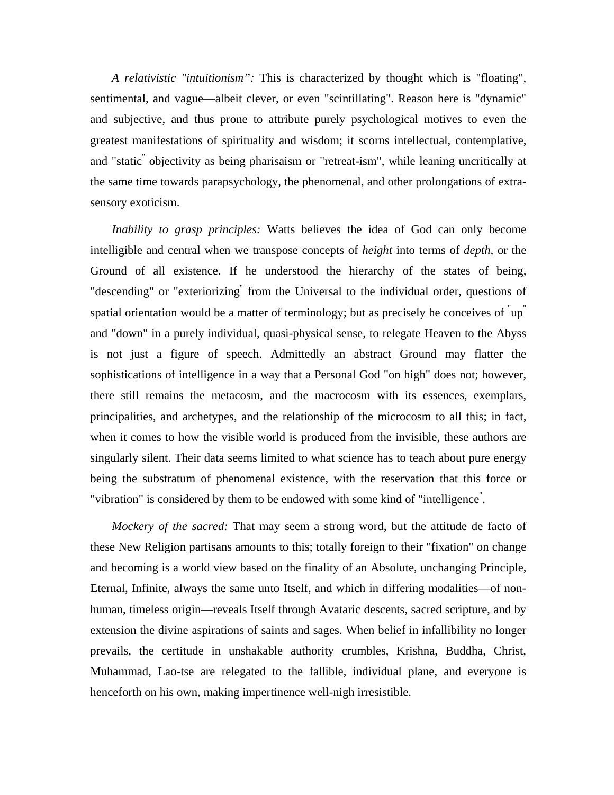*A relativistic "intuitionism":* This is characterized by thought which is "floating", sentimental, and vague—albeit clever, or even "scintillating". Reason here is "dynamic" and subjective, and thus prone to attribute purely psychological motives to even the greatest manifestations of spirituality and wisdom; it scorns intellectual, contemplative, and "static" objectivity as being pharisaism or "retreat-ism", while leaning uncritically at the same time towards parapsychology, the phenomenal, and other prolongations of extrasensory exoticism.

*Inability to grasp principles:* Watts believes the idea of God can only become intelligible and central when we transpose concepts of *height* into terms of *depth,* or the Ground of all existence. If he understood the hierarchy of the states of being, "descending" or "exteriorizing<sup>"</sup> from the Universal to the individual order, questions of spatial orientation would be a matter of terminology; but as precisely he conceives of  $\overline{\phantom{a}}$  up and "down" in a purely individual, quasi-physical sense, to relegate Heaven to the Abyss is not just a figure of speech. Admittedly an abstract Ground may flatter the sophistications of intelligence in a way that a Personal God "on high" does not; however, there still remains the metacosm, and the macrocosm with its essences, exemplars, principalities, and archetypes, and the relationship of the microcosm to all this; in fact, when it comes to how the visible world is produced from the invisible, these authors are singularly silent. Their data seems limited to what science has to teach about pure energy being the substratum of phenomenal existence, with the reservation that this force or "vibration" is considered by them to be endowed with some kind of "intelligence" .

*Mockery of the sacred:* That may seem a strong word, but the attitude de facto of these New Religion partisans amounts to this; totally foreign to their "fixation" on change and becoming is a world view based on the finality of an Absolute, unchanging Principle, Eternal, Infinite, always the same unto Itself, and which in differing modalities—of nonhuman, timeless origin—reveals Itself through Avataric descents, sacred scripture, and by extension the divine aspirations of saints and sages. When belief in infallibility no longer prevails, the certitude in unshakable authority crumbles, Krishna, Buddha, Christ, Muhammad, Lao-tse are relegated to the fallible, individual plane, and everyone is henceforth on his own, making impertinence well-nigh irresistible.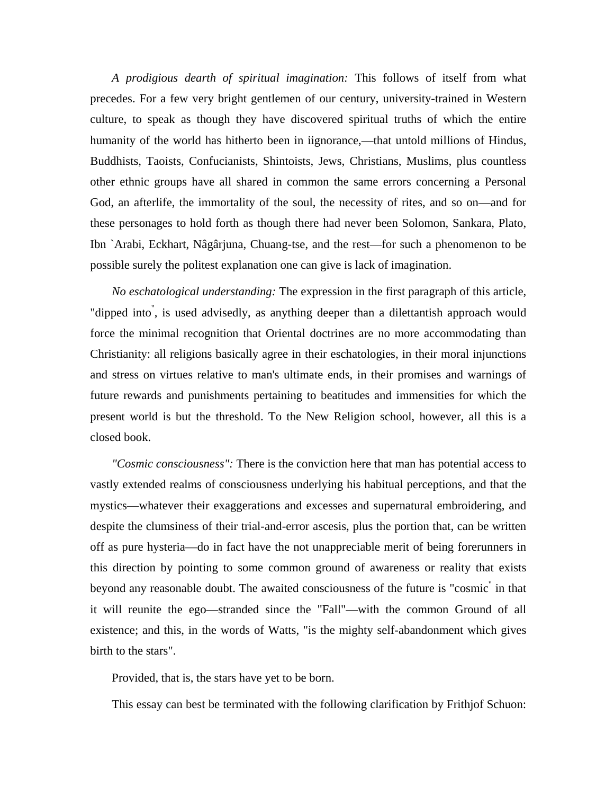*A prodigious dearth of spiritual imagination:* This follows of itself from what precedes. For a few very bright gentlemen of our century, university-trained in Western culture, to speak as though they have discovered spiritual truths of which the entire humanity of the world has hitherto been in iignorance,—that untold millions of Hindus, Buddhists, Taoists, Confucianists, Shintoists, Jews, Christians, Muslims, plus countless other ethnic groups have all shared in common the same errors concerning a Personal God, an afterlife, the immortality of the soul, the necessity of rites, and so on—and for these personages to hold forth as though there had never been Solomon, Sankara, Plato, Ibn `Arabi, Eckhart, Nâgârjuna, Chuang-tse, and the rest—for such a phenomenon to be possible surely the politest explanation one can give is lack of imagination.

*No eschatological understanding:* The expression in the first paragraph of this article, "dipped into", is used advisedly, as anything deeper than a dilettantish approach would force the minimal recognition that Oriental doctrines are no more accommodating than Christianity: all religions basically agree in their eschatologies, in their moral injunctions and stress on virtues relative to man's ultimate ends, in their promises and warnings of future rewards and punishments pertaining to beatitudes and immensities for which the present world is but the threshold. To the New Religion school, however, all this is a closed book.

*"Cosmic consciousness":* There is the conviction here that man has potential access to vastly extended realms of consciousness underlying his habitual perceptions, and that the mystics—whatever their exaggerations and excesses and supernatural embroidering, and despite the clumsiness of their trial-and-error ascesis, plus the portion that, can be written off as pure hysteria—do in fact have the not unappreciable merit of being forerunners in this direction by pointing to some common ground of awareness or reality that exists beyond any reasonable doubt. The awaited consciousness of the future is "cosmic<sup>"</sup> in that it will reunite the ego—stranded since the "Fall"—with the common Ground of all existence; and this, in the words of Watts, "is the mighty self-abandonment which gives birth to the stars".

Provided, that is, the stars have yet to be born.

This essay can best be terminated with the following clarification by Frithjof Schuon: